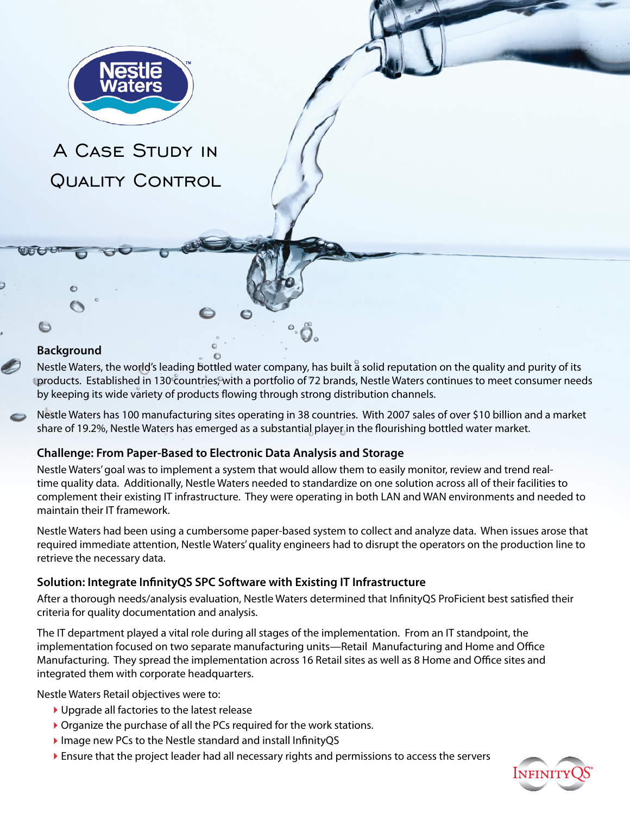

# A Case Study in QUALITY CONTROL

### **Background**

 $\bigcirc$ 

Nestle Waters, the world's leading bottled water company, has built a solid reputation on the quality and purity of its products. Established in 130 countries, with a portfolio of 72 brands, Nestle Waters continues to meet consumer needs by keeping its wide variety of products flowing through strong distribution channels.

Nestle Waters has 100 manufacturing sites operating in 38 countries. With 2007 sales of over \$10 billion and a market share of 19.2%, Nestle Waters has emerged as a substantial player in the flourishing bottled water market.

### **Challenge: From Paper-Based to Electronic Data Analysis and Storage**

Nestle Waters' goal was to implement a system that would allow them to easily monitor, review and trend realtime quality data. Additionally, Nestle Waters needed to standardize on one solution across all of their facilities to complement their existing IT infrastructure. They were operating in both LAN and WAN environments and needed to maintain their IT framework.

Nestle Waters had been using a cumbersome paper-based system to collect and analyze data. When issues arose that required immediate attention, Nestle Waters' quality engineers had to disrupt the operators on the production line to retrieve the necessary data.

### **Solution: Integrate InfinityQS SPC Software with Existing IT Infrastructure**

After a thorough needs/analysis evaluation, Nestle Waters determined that InfinityQS ProFicient best satisfied their criteria for quality documentation and analysis.

The IT department played a vital role during all stages of the implementation. From an IT standpoint, the implementation focused on two separate manufacturing units—Retail Manufacturing and Home and Office Manufacturing. They spread the implementation across 16 Retail sites as well as 8 Home and Office sites and integrated them with corporate headquarters.

Nestle Waters Retail objectives were to:

- Upgrade all factories to the latest release
- ▶ Organize the purchase of all the PCs required for the work stations.
- Image new PCs to the Nestle standard and install InfinityQS
- Ensure that the project leader had all necessary rights and permissions to access the servers